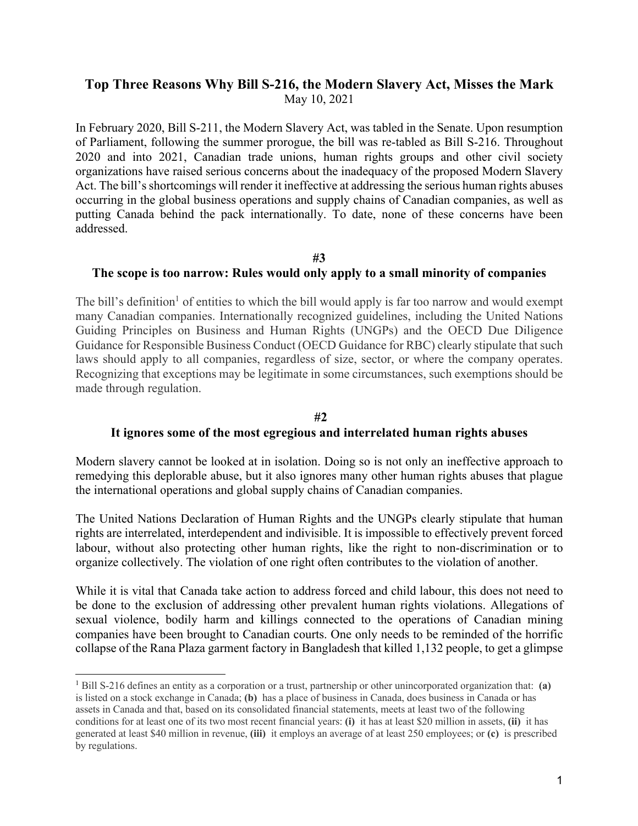# **Top Three Reasons Why Bill S-216, the Modern Slavery Act, Misses the Mark** May 10, 2021

In February 2020, Bill S-211, the Modern Slavery Act, was tabled in the Senate. Upon resumption of Parliament, following the summer prorogue, the bill was re-tabled as Bill S-216. Throughout 2020 and into 2021, Canadian trade unions, human rights groups and other civil society organizations have raised serious concerns about the inadequacy of the proposed Modern Slavery Act. The bill's shortcomings will render it ineffective at addressing the serious human rights abuses occurring in the global business operations and supply chains of Canadian companies, as well as putting Canada behind the pack internationally. To date, none of these concerns have been addressed.

#### **#3**

#### **The scope is too narrow: Rules would only apply to a small minority of companies**

The bill's definition<sup>1</sup> of entities to which the bill would apply is far too narrow and would exempt many Canadian companies. Internationally recognized guidelines, including the United Nations Guiding Principles on Business and Human Rights (UNGPs) and the OECD Due Diligence Guidance for Responsible Business Conduct (OECD Guidance for RBC) clearly stipulate that such laws should apply to all companies, regardless of size, sector, or where the company operates. Recognizing that exceptions may be legitimate in some circumstances, such exemptions should be made through regulation.

### **#2 It ignores some of the most egregious and interrelated human rights abuses**

Modern slavery cannot be looked at in isolation. Doing so is not only an ineffective approach to remedying this deplorable abuse, but it also ignores many other human rights abuses that plague the international operations and global supply chains of Canadian companies.

The United Nations Declaration of Human Rights and the UNGPs clearly stipulate that human rights are interrelated, interdependent and indivisible. It is impossible to effectively prevent forced labour, without also protecting other human rights, like the right to non-discrimination or to organize collectively. The violation of one right often contributes to the violation of another.

While it is vital that Canada take action to address forced and child labour, this does not need to be done to the exclusion of addressing other prevalent human rights violations. Allegations of sexual violence, bodily harm and killings connected to the operations of Canadian mining companies have been brought to Canadian courts. One only needs to be reminded of the horrific collapse of the Rana Plaza garment factory in Bangladesh that killed 1,132 people, to get a glimpse

<sup>1</sup> Bill S-216 defines an entity as a corporation or a trust, partnership or other unincorporated organization that: **(a)** is listed on a stock exchange in Canada; **(b)** has a place of business in Canada, does business in Canada or has assets in Canada and that, based on its consolidated financial statements, meets at least two of the following conditions for at least one of its two most recent financial years: **(i)** it has at least \$20 million in assets, **(ii)** it has generated at least \$40 million in revenue, **(iii)** it employs an average of at least 250 employees; or **(c)** is prescribed by regulations.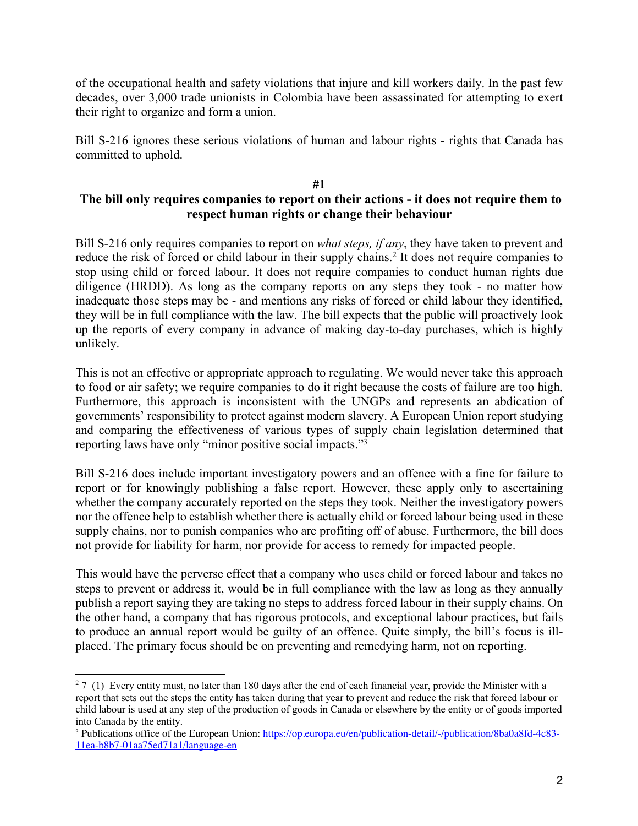of the occupational health and safety violations that injure and kill workers daily. In the past few decades, over 3,000 trade unionists in Colombia have been assassinated for attempting to exert their right to organize and form a union.

Bill S-216 ignores these serious violations of human and labour rights - rights that Canada has committed to uphold.

### **#1**

# **The bill only requires companies to report on their actions - it does not require them to respect human rights or change their behaviour**

Bill S-216 only requires companies to report on *what steps, if any*, they have taken to prevent and reduce the risk of forced or child labour in their supply chains.<sup>2</sup> It does not require companies to stop using child or forced labour. It does not require companies to conduct human rights due diligence (HRDD). As long as the company reports on any steps they took - no matter how inadequate those steps may be - and mentions any risks of forced or child labour they identified, they will be in full compliance with the law. The bill expects that the public will proactively look up the reports of every company in advance of making day-to-day purchases, which is highly unlikely.

This is not an effective or appropriate approach to regulating. We would never take this approach to food or air safety; we require companies to do it right because the costs of failure are too high. Furthermore, this approach is inconsistent with the UNGPs and represents an abdication of governments' responsibility to protect against modern slavery. A European Union report studying and comparing the effectiveness of various types of supply chain legislation determined that reporting laws have only "minor positive social impacts."3

Bill S-216 does include important investigatory powers and an offence with a fine for failure to report or for knowingly publishing a false report. However, these apply only to ascertaining whether the company accurately reported on the steps they took. Neither the investigatory powers nor the offence help to establish whether there is actually child or forced labour being used in these supply chains, nor to punish companies who are profiting off of abuse. Furthermore, the bill does not provide for liability for harm, nor provide for access to remedy for impacted people.

This would have the perverse effect that a company who uses child or forced labour and takes no steps to prevent or address it, would be in full compliance with the law as long as they annually publish a report saying they are taking no steps to address forced labour in their supply chains. On the other hand, a company that has rigorous protocols, and exceptional labour practices, but fails to produce an annual report would be guilty of an offence. Quite simply, the bill's focus is illplaced. The primary focus should be on preventing and remedying harm, not on reporting.

 $27$  (1) Every entity must, no later than 180 days after the end of each financial year, provide the Minister with a report that sets out the steps the entity has taken during that year to prevent and reduce the risk that forced labour or child labour is used at any step of the production of goods in Canada or elsewhere by the entity or of goods imported into Canada by the entity.

<sup>3</sup> Publications office of the European Union: https://op.europa.eu/en/publication-detail/-/publication/8ba0a8fd-4c83- 11ea-b8b7-01aa75ed71a1/language-en